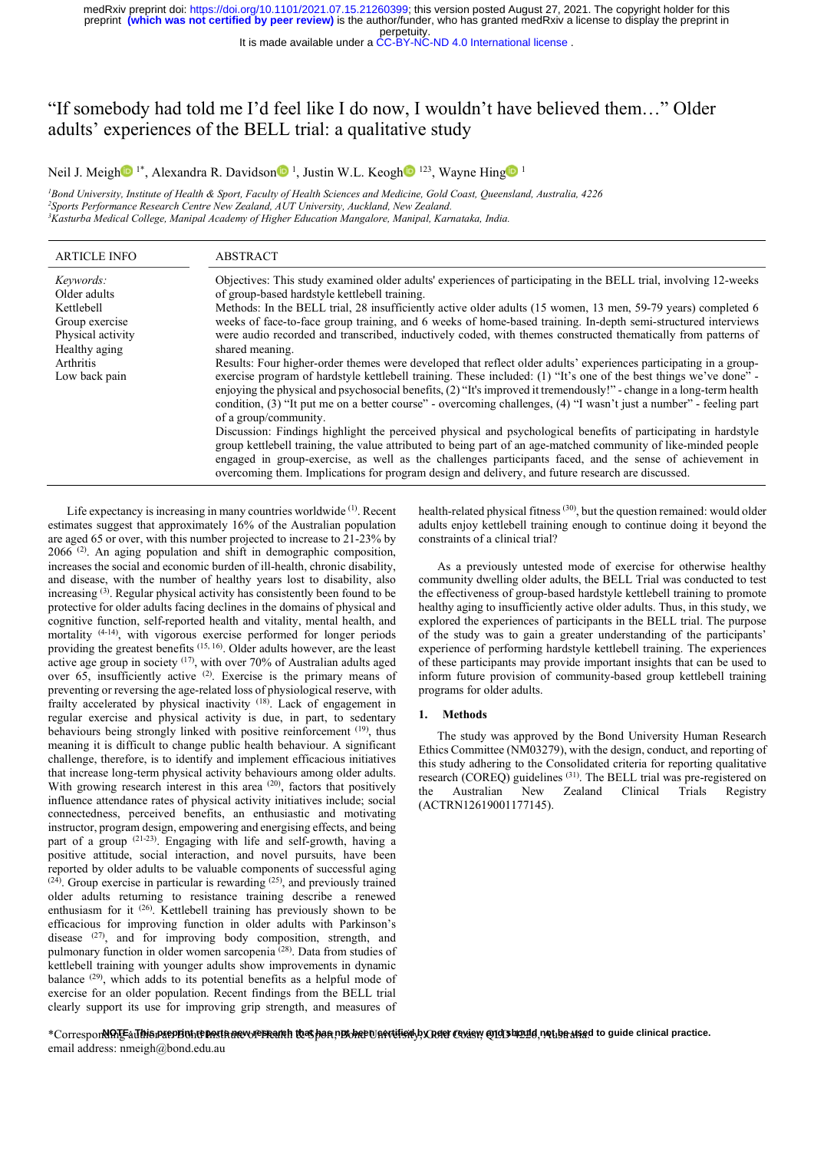It is made available under a CC-BY-NC-ND 4.0 International license .

# "If somebody had told me I'd feel like I do now, I wouldn't have believed them…" Older adults' experiences of the BELL trial: a qualitative study medRxivpreprint doi: https://doi.org/10.1101/2021.07.15.21260399; this version posted August 27, 2021. The copyright holder for this preprint (which was not certified by peer review) is the author/funder, who has granted 1/2021.07.15.21260399; this version posted August 27, 2021. The copyright holder for this **review**) is the author/funder, who has granted medRxiv a license to display the preprint in **perpetuity**.<br>
vailable under a CC-BY-N

<sup>1</sup>Bond University, Institute of Health & Sport, Faculty of Health Sciences and Medicine, Gold Coast, Queensland, Australia, 4226<br><sup>2</sup>Sports Performance Research Centre New Zealand, AUT University, Auckland, New Zealand. <sup>3</sup>Kasturba Medical College, Manipal Academy of Higher Education Mangalore, Manipal, Karnataka, India.

| <b>ARTICLE INFO</b>                                                                                                           | ABSTRACT                                                                                                                                                                                                                                                                                                                                                                                                                                                                                                                                                                                                                                                                                                                                                                                                                                                                                                                                                                                                                                                                                                                                                                                                                                                                                                                                                                                                                                                                                                       |
|-------------------------------------------------------------------------------------------------------------------------------|----------------------------------------------------------------------------------------------------------------------------------------------------------------------------------------------------------------------------------------------------------------------------------------------------------------------------------------------------------------------------------------------------------------------------------------------------------------------------------------------------------------------------------------------------------------------------------------------------------------------------------------------------------------------------------------------------------------------------------------------------------------------------------------------------------------------------------------------------------------------------------------------------------------------------------------------------------------------------------------------------------------------------------------------------------------------------------------------------------------------------------------------------------------------------------------------------------------------------------------------------------------------------------------------------------------------------------------------------------------------------------------------------------------------------------------------------------------------------------------------------------------|
| Keywords:<br>Older adults<br>Kettlebell<br>Group exercise<br>Physical activity<br>Healthy aging<br>Arthritis<br>Low back pain | Objectives: This study examined older adults' experiences of participating in the BELL trial, involving 12-weeks<br>of group-based hardstyle kettlebell training.<br>Methods: In the BELL trial, 28 insufficiently active older adults (15 women, 13 men, 59-79 years) completed 6<br>weeks of face-to-face group training, and 6 weeks of home-based training. In-depth semi-structured interviews<br>were audio recorded and transcribed, inductively coded, with themes constructed thematically from patterns of<br>shared meaning.<br>Results: Four higher-order themes were developed that reflect older adults' experiences participating in a group-<br>exercise program of hardstyle kettlebell training. These included: (1) "It's one of the best things we've done" -<br>enjoying the physical and psychosocial benefits, (2) "It's improved it tremendously!" - change in a long-term health<br>condition, (3) "It put me on a better course" - overcoming challenges, (4) "I wasn't just a number" - feeling part<br>of a group/community.<br>Discussion: Findings highlight the perceived physical and psychological benefits of participating in hardstyle<br>group kettlebell training, the value attributed to being part of an age-matched community of like-minded people<br>engaged in group-exercise, as well as the challenges participants faced, and the sense of achievement in<br>overcoming them. Implications for program design and delivery, and future research are discussed. |

Life expectancy is increasing in many countries worldwide <sup>(1)</sup>. Recent estimates suggest that approximately 16% of the Australian population are aged 65 or over, with this number projected to increase to 21-23% by  $2066$ <sup> $(2)$ </sup>. An aging population and shift in demographic composition, increases the social and economic burden of ill-health, chronic disability, and disease, with the number of healthy years lost to disability, also increasing (3). Regular physical activity has consistently been found to be protective for older adults facing declines in the domains of physical and cognitive function, self-reported health and vitality, mental health, and mortality <sup>(4-14)</sup>, with vigorous exercise performed for longer periods providing the greatest benefits (15, 16). Older adults however, are the least active age group in society <sup>(17)</sup>, with over 70% of Australian adults aged over 65, insufficiently active (2). Exercise is the primary means of preventing or reversing the age-related loss of physiological reserve, with frailty accelerated by physical inactivity (18). Lack of engagement in regular exercise and physical activity is due, in part, to sedentary behaviours being strongly linked with positive reinforcement (19), thus meaning it is difficult to change public health behaviour. A significant challenge, therefore, is to identify and implement efficacious initiatives that increase long-term physical activity behaviours among older adults. With growing research interest in this area  $(20)$ , factors that positively the influence attendance rates of physical activity initiatives include; social connectedness, perceived benefits, an enthusiastic and motivating instructor, program design, empowering and energising effects, and being part of a group <sup>(21-23)</sup>. Engaging with life and self-growth, having a positive attitude, social interaction, and novel pursuits, have been reported by older adults to be valuable components of successful aging  $(24)$ . Group exercise in particular is rewarding  $(25)$ , and previously trained older adults returning to resistance training describe a renewed enthusiasm for it (26). Kettlebell training has previously shown to be efficacious for improving function in older adults with Parkinson's disease <sup>(27)</sup>, and for improving body composition, strength, and pulmonary function in older women sarcopenia (28). Data from studies of kettlebell training with younger adults show improvements in dynamic balance (29), which adds to its potential benefits as a helpful mode of exercise for an older population. Recent findings from the BELL trial clearly support its use for improving grip strength, and measures of

health-related physical fitness (30), but the question remained: would older adults enjoy kettlebell training enough to continue doing it beyond the constraints of a clinical trial?

As a previously untested mode of exercise for otherwise healthy community dwelling older adults, the BELL Trial was conducted to test the effectiveness of group-based hardstyle kettlebell training to promote healthy aging to insufficiently active older adults. Thus, in this study, we explored the experiences of participants in the BELL trial. The purpose of the study was to gain a greater understanding of the participants' experience of performing hardstyle kettlebell training. The experiences of these participants may provide important insights that can be used to inform future provision of community-based group kettlebell training programs for older adults.

# 1. Methods

The study was approved by the Bond University Human Research Ethics Committee (NM03279), with the design, conduct, and reporting of this study adhering to the Consolidated criteria for reporting qualitative research (COREQ) guidelines (31). The BELL trial was pre-registered on Australian New Zealand Clinical Trials Registry (ACTRN12619001177145).

\*Correspor**NATEaJhisrxepBohteRethnevvieFFairh to3Shar pBvhePUGevtiisry**byR**efer** Gydgy @1955h@11d,nottbeAfsed to guide clinical practice. email address: nmeigh@bond.edu.au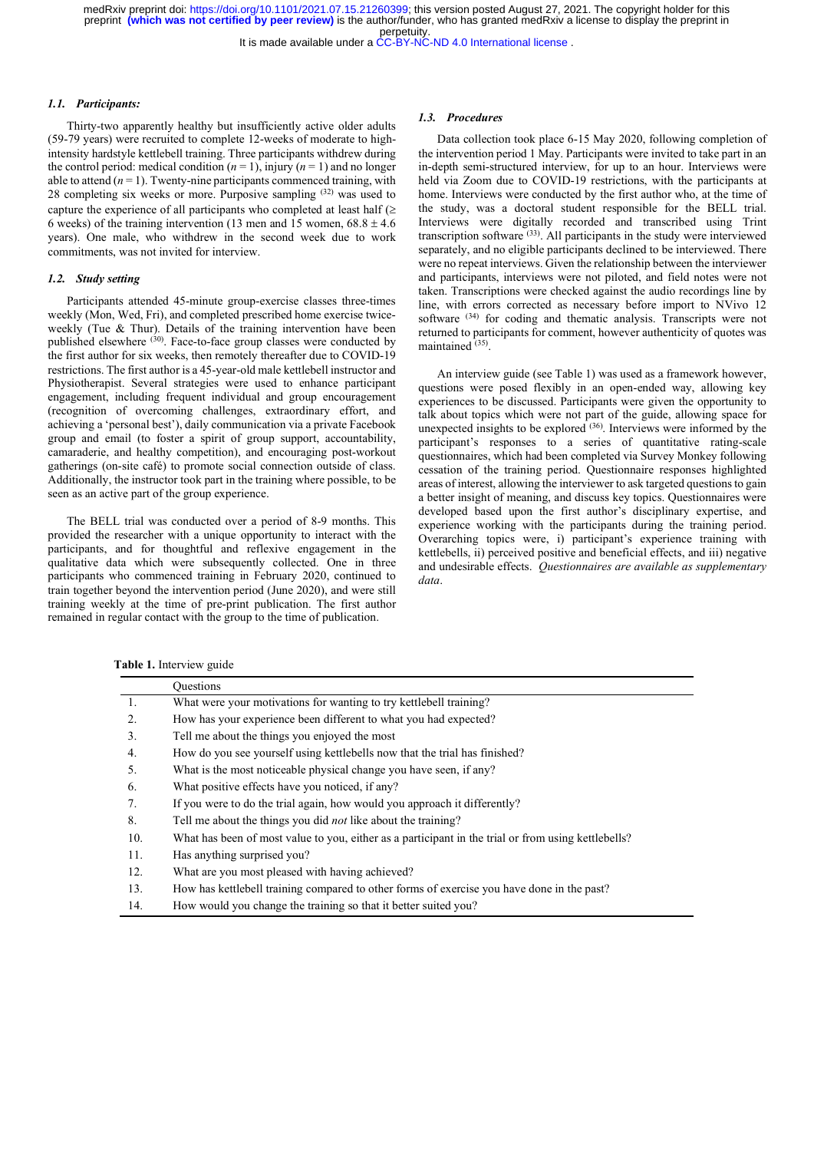It is made available under a [CC-BY-NC-ND 4.0 International license](http://creativecommons.org/licenses/by-nc-nd/4.0/) .

#### 1.1. Participants:

Thirty-two apparently healthy but insufficiently active older adults (59-79 years) were recruited to complete 12-weeks of moderate to highintensity hardstyle kettlebell training. Three participants withdrew during the control period: medical condition  $(n = 1)$ , injury  $(n = 1)$  and no longer able to attend  $(n = 1)$ . Twenty-nine participants commenced training, with 28 completing six weeks or more. Purposive sampling (32) was used to capture the experience of all participants who completed at least half  $(\geq$ 6 weeks) of the training intervention (13 men and 15 women,  $68.8 \pm 4.6$ ) years). One male, who withdrew in the second week due to work commitments, was not invited for interview.

# 1.2. Study setting

Participants attended 45-minute group-exercise classes three-times weekly (Mon, Wed, Fri), and completed prescribed home exercise twiceweekly (Tue & Thur). Details of the training intervention have been published elsewhere <sup>(30)</sup>. Face-to-face group classes were conducted by the first author for six weeks, then remotely thereafter due to COVID-19 restrictions. The first author is a 45-year-old male kettlebell instructor and Physiotherapist. Several strategies were used to enhance participant engagement, including frequent individual and group encouragement (recognition of overcoming challenges, extraordinary effort, and achieving a 'personal best'), daily communication via a private Facebook group and email (to foster a spirit of group support, accountability, camaraderie, and healthy competition), and encouraging post-workout gatherings (on-site café) to promote social connection outside of class. Additionally, the instructor took part in the training where possible, to be seen as an active part of the group experience.

The BELL trial was conducted over a period of 8-9 months. This provided the researcher with a unique opportunity to interact with the participants, and for thoughtful and reflexive engagement in the qualitative data which were subsequently collected. One in three participants who commenced training in February 2020, continued to train together beyond the intervention period (June 2020), and were still training weekly at the time of pre-print publication. The first author remained in regular contact with the group to the time of publication.

#### 1.3. Procedures

Data collection took place 6-15 May 2020, following completion of the intervention period 1 May. Participants were invited to take part in an in-depth semi-structured interview, for up to an hour. Interviews were held via Zoom due to COVID-19 restrictions, with the participants at home. Interviews were conducted by the first author who, at the time of the study, was a doctoral student responsible for the BELL trial. Interviews were digitally recorded and transcribed using Trint transcription software (33). All participants in the study were interviewed separately, and no eligible participants declined to be interviewed. There were no repeat interviews. Given the relationship between the interviewer and participants, interviews were not piloted, and field notes were not taken. Transcriptions were checked against the audio recordings line by line, with errors corrected as necessary before import to NVivo 12 software <sup>(34)</sup> for coding and thematic analysis. Transcripts were not returned to participants for comment, however authenticity of quotes was maintained (35).

An interview guide (see Table 1) was used as a framework however, questions were posed flexibly in an open-ended way, allowing key experiences to be discussed. Participants were given the opportunity to talk about topics which were not part of the guide, allowing space for unexpected insights to be explored  $(36)$ . Interviews were informed by the participant's responses to a series of quantitative rating-scale questionnaires, which had been completed via Survey Monkey following cessation of the training period. Questionnaire responses highlighted areas of interest, allowing the interviewer to ask targeted questions to gain a better insight of meaning, and discuss key topics. Questionnaires were developed based upon the first author's disciplinary expertise, and experience working with the participants during the training period. Overarching topics were, i) participant's experience training with kettlebells, ii) perceived positive and beneficial effects, and iii) negative and undesirable effects. Questionnaires are available as supplementary data.

Table 1. Interview guide

|     | <b>Ouestions</b>                                                                                    |
|-----|-----------------------------------------------------------------------------------------------------|
| 1.  | What were your motivations for wanting to try kettlebell training?                                  |
| 2.  | How has your experience been different to what you had expected?                                    |
| 3.  | Tell me about the things you enjoyed the most                                                       |
| 4.  | How do you see yourself using kettlebells now that the trial has finished?                          |
| 5.  | What is the most noticeable physical change you have seen, if any?                                  |
| 6.  | What positive effects have you noticed, if any?                                                     |
| 7.  | If you were to do the trial again, how would you approach it differently?                           |
| 8.  | Tell me about the things you did <i>not</i> like about the training?                                |
| 10. | What has been of most value to you, either as a participant in the trial or from using kettlebells? |
| 11. | Has anything surprised you?                                                                         |
| 12. | What are you most pleased with having achieved?                                                     |
| 13. | How has kettlebell training compared to other forms of exercise you have done in the past?          |
| 14. | How would you change the training so that it better suited you?                                     |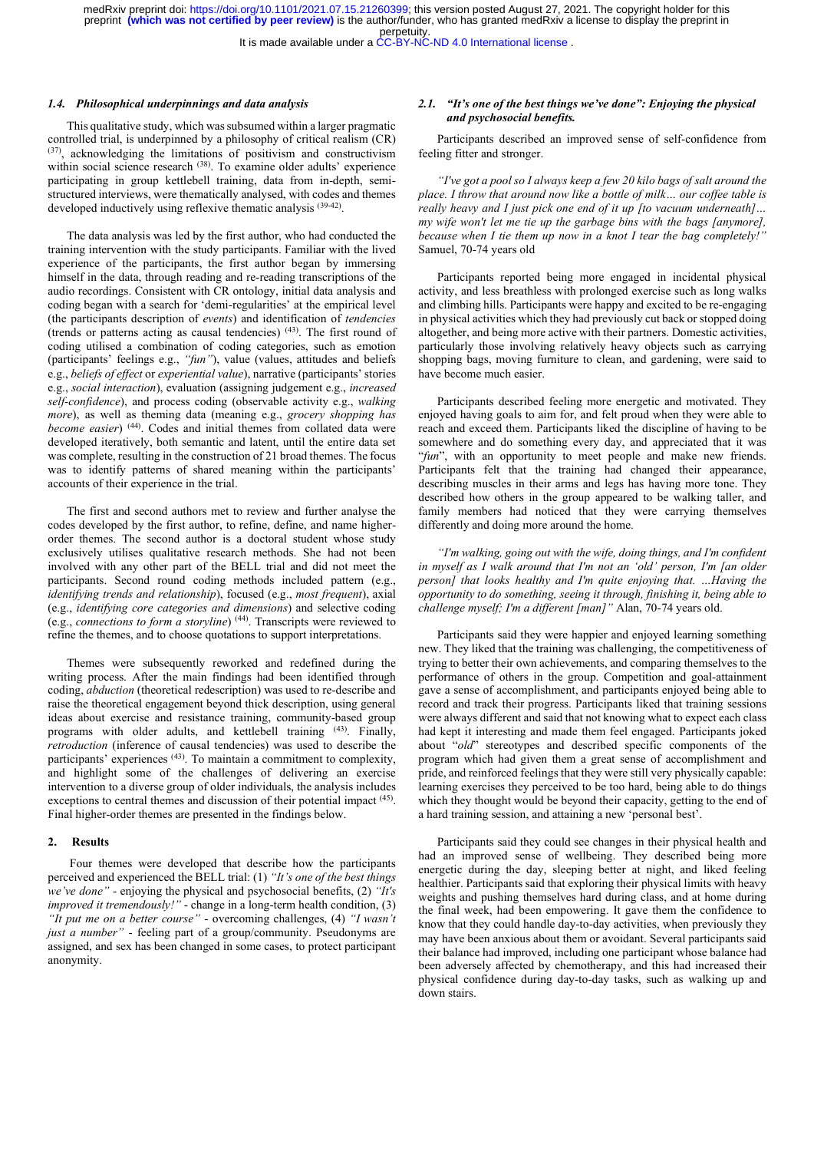It is made available under a [CC-BY-NC-ND 4.0 International license](http://creativecommons.org/licenses/by-nc-nd/4.0/) .

#### 1.4. Philosophical underpinnings and data analysis

This qualitative study, which was subsumed within a larger pragmatic controlled trial, is underpinned by a philosophy of critical realism (CR) (37), acknowledging the limitations of positivism and constructivism within social science research <sup>(38)</sup>. To examine older adults' experience participating in group kettlebell training, data from in-depth, semistructured interviews, were thematically analysed, with codes and themes developed inductively using reflexive thematic analysis <sup>(39-42)</sup>.

The data analysis was led by the first author, who had conducted the training intervention with the study participants. Familiar with the lived experience of the participants, the first author began by immersing himself in the data, through reading and re-reading transcriptions of the audio recordings. Consistent with CR ontology, initial data analysis and coding began with a search for 'demi-regularities' at the empirical level (the participants description of events) and identification of tendencies (trends or patterns acting as causal tendencies) (43). The first round of coding utilised a combination of coding categories, such as emotion (participants' feelings e.g., "fun"), value (values, attitudes and beliefs e.g., beliefs of effect or experiential value), narrative (participants' stories e.g., social interaction), evaluation (assigning judgement e.g., increased self-confidence), and process coding (observable activity e.g., walking more), as well as theming data (meaning e.g., grocery shopping has become easier) (44). Codes and initial themes from collated data were developed iteratively, both semantic and latent, until the entire data set was complete, resulting in the construction of 21 broad themes. The focus was to identify patterns of shared meaning within the participants' accounts of their experience in the trial.

The first and second authors met to review and further analyse the codes developed by the first author, to refine, define, and name higherorder themes. The second author is a doctoral student whose study exclusively utilises qualitative research methods. She had not been involved with any other part of the BELL trial and did not meet the participants. Second round coding methods included pattern (e.g., identifying trends and relationship), focused (e.g., most frequent), axial (e.g., identifying core categories and dimensions) and selective coding (e.g., connections to form a storyline) (44). Transcripts were reviewed to refine the themes, and to choose quotations to support interpretations.

Themes were subsequently reworked and redefined during the writing process. After the main findings had been identified through coding, abduction (theoretical redescription) was used to re-describe and raise the theoretical engagement beyond thick description, using general ideas about exercise and resistance training, community-based group programs with older adults, and kettlebell training (43). Finally, retroduction (inference of causal tendencies) was used to describe the participants' experiences (43). To maintain a commitment to complexity, and highlight some of the challenges of delivering an exercise intervention to a diverse group of older individuals, the analysis includes exceptions to central themes and discussion of their potential impact <sup>(45)</sup>. Final higher-order themes are presented in the findings below.

## 2. Results

 Four themes were developed that describe how the participants perceived and experienced the BELL trial: (1) "It's one of the best things we've done" - enjoying the physical and psychosocial benefits,  $(2)$  "It's improved it tremendously!" - change in a long-term health condition, (3) "It put me on a better course" - overcoming challenges, (4) "I wasn't just a number" - feeling part of a group/community. Pseudonyms are assigned, and sex has been changed in some cases, to protect participant anonymity.

# 2.1. "It's one of the best things we've done": Enjoying the physical and psychosocial benefits.

Participants described an improved sense of self-confidence from feeling fitter and stronger.

"I've got a pool so I always keep a few 20 kilo bags of salt around the place. I throw that around now like a bottle of milk… our coffee table is really heavy and I just pick one end of it up [to vacuum underneath]... really neavy and 1 just pick one can by a  $w_p$  is a community [anymore],<br>my wife won't let me tie up the garbage bins with the bags [anymore], because when  $I$  tie them up now in a knot  $I$  tear the bag completely! Samuel, 70-74 years old

Participants reported being more engaged in incidental physical activity, and less breathless with prolonged exercise such as long walks and climbing hills. Participants were happy and excited to be re-engaging in physical activities which they had previously cut back or stopped doing altogether, and being more active with their partners. Domestic activities, particularly those involving relatively heavy objects such as carrying shopping bags, moving furniture to clean, and gardening, were said to have become much easier.

Participants described feeling more energetic and motivated. They enjoyed having goals to aim for, and felt proud when they were able to reach and exceed them. Participants liked the discipline of having to be somewhere and do something every day, and appreciated that it was "fun", with an opportunity to meet people and make new friends. Participants felt that the training had changed their appearance, describing muscles in their arms and legs has having more tone. They described how others in the group appeared to be walking taller, and family members had noticed that they were carrying themselves differently and doing more around the home.

"I'm walking, going out with the wife, doing things, and I'm confident in myself as I walk around that I'm not an 'old' person, I'm [an older person] that looks healthy and I'm quite enjoying that. …Having the opportunity to do something, seeing it through, finishing it, being able to challenge myself; I'm a different [man]" Alan, 70-74 years old.

Participants said they were happier and enjoyed learning something new. They liked that the training was challenging, the competitiveness of trying to better their own achievements, and comparing themselves to the performance of others in the group. Competition and goal-attainment gave a sense of accomplishment, and participants enjoyed being able to record and track their progress. Participants liked that training sessions were always different and said that not knowing what to expect each class had kept it interesting and made them feel engaged. Participants joked about "old" stereotypes and described specific components of the program which had given them a great sense of accomplishment and pride, and reinforced feelings that they were still very physically capable: learning exercises they perceived to be too hard, being able to do things which they thought would be beyond their capacity, getting to the end of a hard training session, and attaining a new 'personal best'.

Participants said they could see changes in their physical health and had an improved sense of wellbeing. They described being more energetic during the day, sleeping better at night, and liked feeling healthier. Participants said that exploring their physical limits with heavy weights and pushing themselves hard during class, and at home during the final week, had been empowering. It gave them the confidence to know that they could handle day-to-day activities, when previously they may have been anxious about them or avoidant. Several participants said their balance had improved, including one participant whose balance had been adversely affected by chemotherapy, and this had increased their physical confidence during day-to-day tasks, such as walking up and down stairs.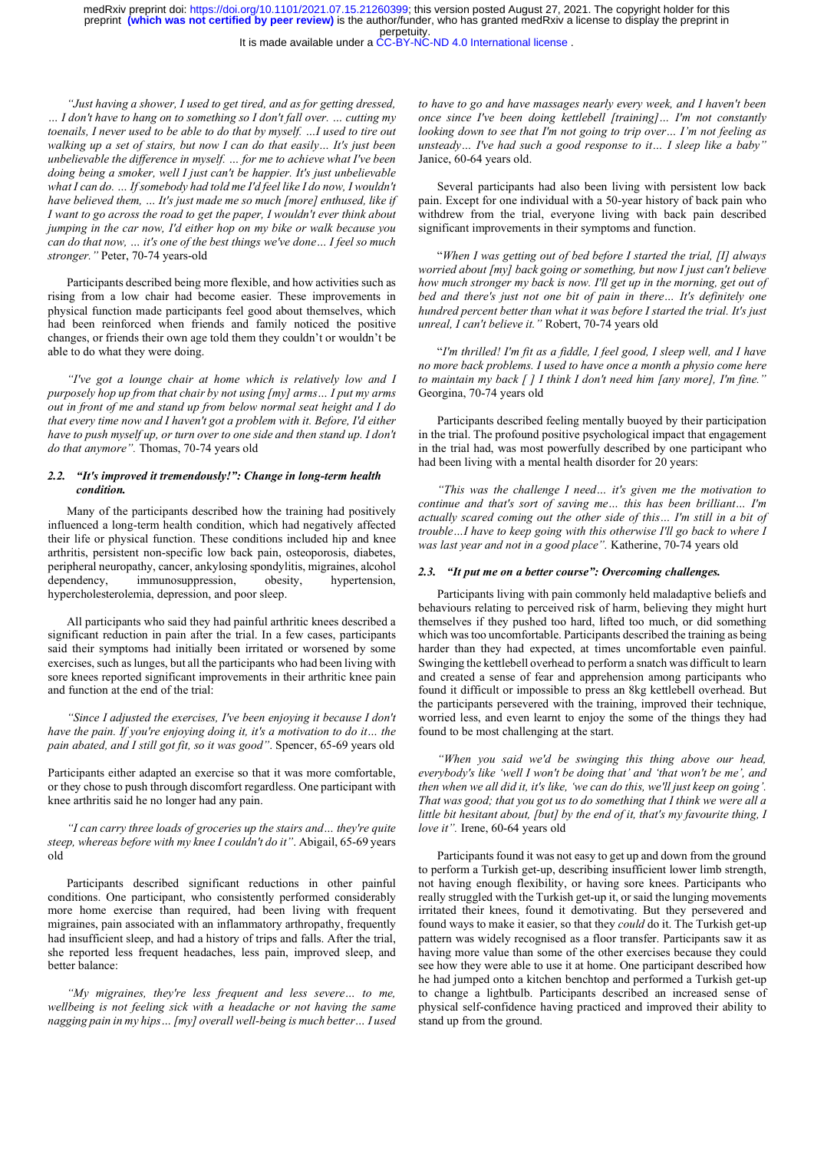It is made available under a [CC-BY-NC-ND 4.0 International license](http://creativecommons.org/licenses/by-nc-nd/4.0/) .

"Just having a shower, I used to get tired, and as for getting dressed, … I don't have to hang on to something so I don't fall over. … cutting my toenails, I never used to be able to do that by myself. …I used to tire out walking up a set of stairs, but now I can do that easily... It's just been unbelievable the difference in myself. … for me to achieve what I've been doing being a smoker, well I just can't be happier. It's just unbelievable what I can do. … If somebody had told me I'd feel like I do now, I wouldn't have believed them, ... It's just made me so much [more] enthused, like if I want to go across the road to get the paper, I wouldn't ever think about jumping in the car now, I'd either hop on my bike or walk because you can do that now, … it's one of the best things we've done… I feel so much stronger." Peter, 70-74 years-old

Participants described being more flexible, and how activities such as rising from a low chair had become easier. These improvements in physical function made participants feel good about themselves, which had been reinforced when friends and family noticed the positive changes, or friends their own age told them they couldn't or wouldn't be able to do what they were doing.

"I've got a lounge chair at home which is relatively low and I purposely hop up from that chair by not using [my] arms… I put my arms out in front of me and stand up from below normal seat height and I do that every time now and I haven't got a problem with it. Before, I'd either have to push myself up, or turn over to one side and then stand up. I don't do that anymore". Thomas, 70-74 years old

# 2.2. "It's improved it tremendously!": Change in long-term health condition.

Many of the participants described how the training had positively influenced a long-term health condition, which had negatively affected their life or physical function. These conditions included hip and knee arthritis, persistent non-specific low back pain, osteoporosis, diabetes, peripheral neuropathy, cancer, ankylosing spondylitis, migraines, alcohol dependency, immunosuppression, obesity, hypertension, hypercholesterolemia, depression, and poor sleep.

All participants who said they had painful arthritic knees described a significant reduction in pain after the trial. In a few cases, participants said their symptoms had initially been irritated or worsened by some exercises, such as lunges, but all the participants who had been living with sore knees reported significant improvements in their arthritic knee pain and function at the end of the trial:

"Since I adjusted the exercises, I've been enjoying it because I don't have the pain. If you're enjoying doing it, it's a motivation to do it… the pain abated, and I still got fit, so it was good". Spencer, 65-69 years old

Participants either adapted an exercise so that it was more comfortable, or they chose to push through discomfort regardless. One participant with knee arthritis said he no longer had any pain.

"I can carry three loads of groceries up the stairs and… they're quite steep, whereas before with my knee I couldn't do it". Abigail, 65-69 years old

Participants described significant reductions in other painful conditions. One participant, who consistently performed considerably more home exercise than required, had been living with frequent migraines, pain associated with an inflammatory arthropathy, frequently had insufficient sleep, and had a history of trips and falls. After the trial, she reported less frequent headaches, less pain, improved sleep, and better balance:

"My migraines, they're less frequent and less severe… to me, wellbeing is not feeling sick with a headache or not having the same nagging pain in my hips… [my] overall well-being is much better… I used to have to go and have massages nearly every week, and I haven't been once since I've been doing kettlebell [training]… I'm not constantly looking down to see that I'm not going to trip over... I'm not feeling as unsteady... I've had such a good response to it... I sleep like a baby' Janice, 60-64 years old.

Several participants had also been living with persistent low back pain. Except for one individual with a 50-year history of back pain who withdrew from the trial, everyone living with back pain described significant improvements in their symptoms and function.

"When I was getting out of bed before I started the trial, [I] always worried about [my] back going or something, but now I just can't believe how much stronger my back is now. I'll get up in the morning, get out of bed and there's just not one bit of pain in there… It's definitely one hundred percent better than what it was before I started the trial. It's just unreal, I can't believe it." Robert, 70-74 years old

"I'm thrilled! I'm fit as a fiddle, I feel good, I sleep well, and I have no more back problems. I used to have once a month a physio come here to maintain my back  $\int$  *[ ] I think I don't need him [any more]*, *I'm fine.*" Georgina, 70-74 years old

Participants described feeling mentally buoyed by their participation in the trial. The profound positive psychological impact that engagement in the trial had, was most powerfully described by one participant who had been living with a mental health disorder for 20 years:

"This was the challenge I need… it's given me the motivation to continue and that's sort of saving me… this has been brilliant… I'm actually scared coming out the other side of this… I'm still in a bit of trouble…I have to keep going with this otherwise I'll go back to where I was last year and not in a good place". Katherine, 70-74 years old

#### 2.3. "It put me on a better course": Overcoming challenges.

Participants living with pain commonly held maladaptive beliefs and behaviours relating to perceived risk of harm, believing they might hurt themselves if they pushed too hard, lifted too much, or did something which was too uncomfortable. Participants described the training as being harder than they had expected, at times uncomfortable even painful. Swinging the kettlebell overhead to perform a snatch was difficult to learn and created a sense of fear and apprehension among participants who found it difficult or impossible to press an 8kg kettlebell overhead. But the participants persevered with the training, improved their technique, worried less, and even learnt to enjoy the some of the things they had found to be most challenging at the start.

"When you said we'd be swinging this thing above our head, everybody's like 'well I won't be doing that' and 'that won't be me', and then when we all did it, it's like, 'we can do this, we'll just keep on going'. That was good; that you got us to do something that I think we were all a little bit hesitant about, [but] by the end of it, that's my favourite thing, I love it". Irene, 60-64 years old

Participants found it was not easy to get up and down from the ground to perform a Turkish get-up, describing insufficient lower limb strength, not having enough flexibility, or having sore knees. Participants who really struggled with the Turkish get-up it, or said the lunging movements irritated their knees, found it demotivating. But they persevered and found ways to make it easier, so that they could do it. The Turkish get-up pattern was widely recognised as a floor transfer. Participants saw it as having more value than some of the other exercises because they could see how they were able to use it at home. One participant described how he had jumped onto a kitchen benchtop and performed a Turkish get-up to change a lightbulb. Participants described an increased sense of physical self-confidence having practiced and improved their ability to stand up from the ground.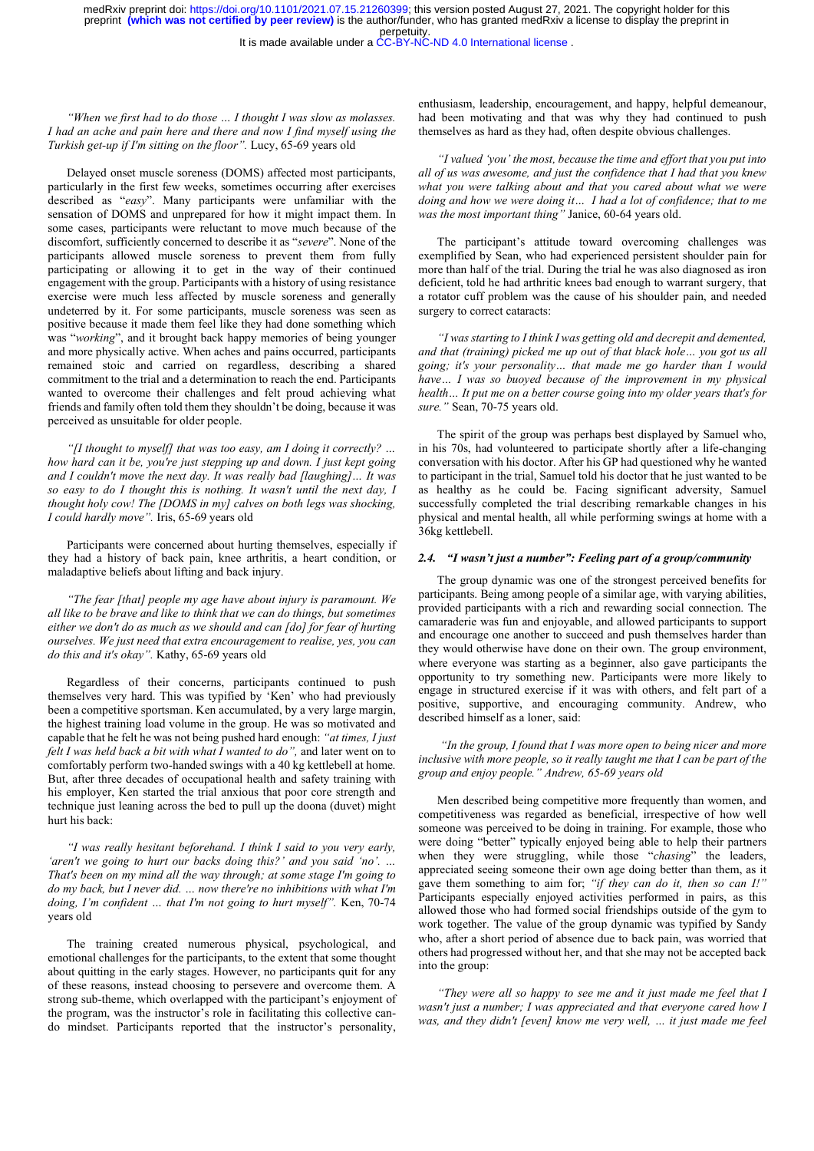It is made available under a [CC-BY-NC-ND 4.0 International license](http://creativecommons.org/licenses/by-nc-nd/4.0/) .

"When we first had to do those … I thought I was slow as molasses. I had an ache and pain here and there and now I find myself using the Turkish get-up if I'm sitting on the floor". Lucy, 65-69 years old

Delayed onset muscle soreness (DOMS) affected most participants, particularly in the first few weeks, sometimes occurring after exercises described as "easy". Many participants were unfamiliar with the sensation of DOMS and unprepared for how it might impact them. In some cases, participants were reluctant to move much because of the discomfort, sufficiently concerned to describe it as "severe". None of the participants allowed muscle soreness to prevent them from fully participating or allowing it to get in the way of their continued engagement with the group. Participants with a history of using resistance exercise were much less affected by muscle soreness and generally undeterred by it. For some participants, muscle soreness was seen as positive because it made them feel like they had done something which was "working", and it brought back happy memories of being younger and more physically active. When aches and pains occurred, participants remained stoic and carried on regardless, describing a shared commitment to the trial and a determination to reach the end. Participants wanted to overcome their challenges and felt proud achieving what friends and family often told them they shouldn't be doing, because it was perceived as unsuitable for older people.

"[I thought to myself] that was too easy, am I doing it correctly? ... how hard can it be, you're just stepping up and down. I just kept going and I couldn't move the next day. It was really bad  $[language] \dots$  It was so easy to do I thought this is nothing. It wasn't until the next day, I thought holy cow! The [DOMS in my] calves on both legs was shocking, I could hardly move". Iris, 65-69 years old

Participants were concerned about hurting themselves, especially if they had a history of back pain, knee arthritis, a heart condition, or maladaptive beliefs about lifting and back injury.

"The fear [that] people my age have about injury is paramount. We all like to be brave and like to think that we can do things, but sometimes either we don't do as much as we should and can [do] for fear of hurting ourselves. We just need that extra encouragement to realise, yes, you can do this and it's okay". Kathy, 65-69 years old

Regardless of their concerns, participants continued to push themselves very hard. This was typified by 'Ken' who had previously been a competitive sportsman. Ken accumulated, by a very large margin, the highest training load volume in the group. He was so motivated and capable that he felt he was not being pushed hard enough: "at times, I just felt I was held back a bit with what I wanted to do", and later went on to comfortably perform two-handed swings with a 40 kg kettlebell at home. But, after three decades of occupational health and safety training with his employer, Ken started the trial anxious that poor core strength and technique just leaning across the bed to pull up the doona (duvet) might hurt his back:

"I was really hesitant beforehand. I think I said to you very early, 'aren't we going to hurt our backs doing this?' and you said 'no'. … That's been on my mind all the way through; at some stage I'm going to do my back, but I never did. … now there're no inhibitions with what I'm doing, I'm confident … that I'm not going to hurt myself". Ken, 70-74 years old

The training created numerous physical, psychological, and emotional challenges for the participants, to the extent that some thought about quitting in the early stages. However, no participants quit for any of these reasons, instead choosing to persevere and overcome them. A strong sub-theme, which overlapped with the participant's enjoyment of the program, was the instructor's role in facilitating this collective cando mindset. Participants reported that the instructor's personality, enthusiasm, leadership, encouragement, and happy, helpful demeanour, had been motivating and that was why they had continued to push themselves as hard as they had, often despite obvious challenges.

"I valued 'you' the most, because the time and effort that you put into all of us was awesome, and just the confidence that I had that you knew what you were talking about and that you cared about what we were doing and how we were doing it… I had a lot of confidence; that to me was the most important thing" Janice, 60-64 years old.

The participant's attitude toward overcoming challenges was exemplified by Sean, who had experienced persistent shoulder pain for more than half of the trial. During the trial he was also diagnosed as iron deficient, told he had arthritic knees bad enough to warrant surgery, that a rotator cuff problem was the cause of his shoulder pain, and needed surgery to correct cataracts:

"I was starting to I think I was getting old and decrepit and demented, and that (training) picked me up out of that black hole… you got us all going; it's your personality… that made me go harder than I would have... I was so buoyed because of the improvement in my physical health… It put me on a better course going into my older years that's for sure." Sean, 70-75 years old.

The spirit of the group was perhaps best displayed by Samuel who, in his 70s, had volunteered to participate shortly after a life-changing conversation with his doctor. After his GP had questioned why he wanted to participant in the trial, Samuel told his doctor that he just wanted to be as healthy as he could be. Facing significant adversity, Samuel successfully completed the trial describing remarkable changes in his physical and mental health, all while performing swings at home with a 36kg kettlebell.

# 2.4. "I wasn't just a number": Feeling part of a group/community

The group dynamic was one of the strongest perceived benefits for participants. Being among people of a similar age, with varying abilities, provided participants with a rich and rewarding social connection. The camaraderie was fun and enjoyable, and allowed participants to support and encourage one another to succeed and push themselves harder than they would otherwise have done on their own. The group environment, where everyone was starting as a beginner, also gave participants the opportunity to try something new. Participants were more likely to engage in structured exercise if it was with others, and felt part of a positive, supportive, and encouraging community. Andrew, who described himself as a loner, said:

 "In the group, I found that I was more open to being nicer and more inclusive with more people, so it really taught me that I can be part of the group and enjoy people." Andrew, 65-69 years old

Men described being competitive more frequently than women, and competitiveness was regarded as beneficial, irrespective of how well someone was perceived to be doing in training. For example, those who were doing "better" typically enjoyed being able to help their partners when they were struggling, while those "chasing" the leaders, appreciated seeing someone their own age doing better than them, as it gave them something to aim for; "if they can do it, then so can I!" Participants especially enjoyed activities performed in pairs, as this allowed those who had formed social friendships outside of the gym to work together. The value of the group dynamic was typified by Sandy who, after a short period of absence due to back pain, was worried that others had progressed without her, and that she may not be accepted back into the group:

"They were all so happy to see me and it just made me feel that I wasn't just a number; I was appreciated and that everyone cared how I was, and they didn't [even] know me very well, … it just made me feel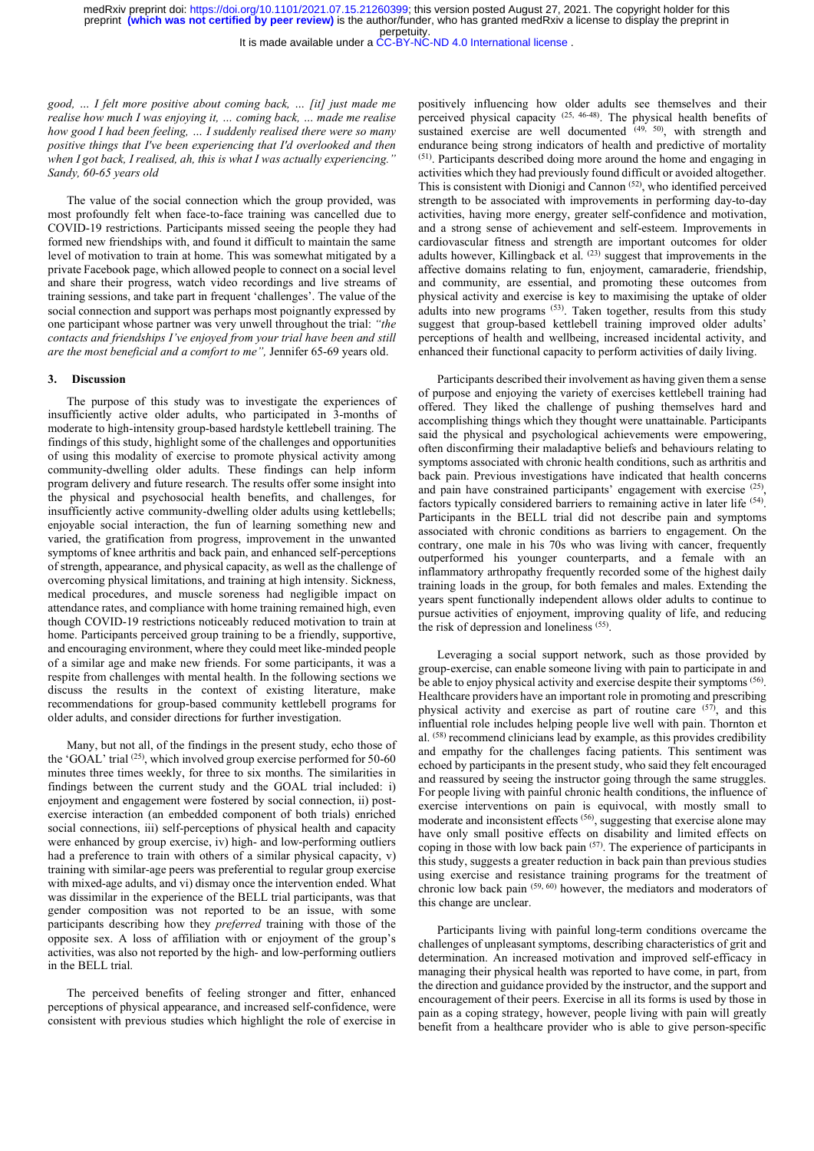It is made available under a [CC-BY-NC-ND 4.0 International license](http://creativecommons.org/licenses/by-nc-nd/4.0/) .

good, … I felt more positive about coming back, … [it] just made me realise how much I was enjoying it, … coming back, … made me realise how good I had been feeling, ... I suddenly realised there were so many positive things that I've been experiencing that I'd overlooked and then when I got back, I realised, ah, this is what I was actually experiencing." Sandy, 60-65 years old

The value of the social connection which the group provided, was most profoundly felt when face-to-face training was cancelled due to COVID-19 restrictions. Participants missed seeing the people they had formed new friendships with, and found it difficult to maintain the same level of motivation to train at home. This was somewhat mitigated by a private Facebook page, which allowed people to connect on a social level and share their progress, watch video recordings and live streams of training sessions, and take part in frequent 'challenges'. The value of the social connection and support was perhaps most poignantly expressed by one participant whose partner was very unwell throughout the trial: "the contacts and friendships I've enjoyed from your trial have been and still are the most beneficial and a comfort to me", Jennifer 65-69 years old.

# 3. Discussion

The purpose of this study was to investigate the experiences of insufficiently active older adults, who participated in 3-months of moderate to high-intensity group-based hardstyle kettlebell training. The findings of this study, highlight some of the challenges and opportunities of using this modality of exercise to promote physical activity among community-dwelling older adults. These findings can help inform program delivery and future research. The results offer some insight into the physical and psychosocial health benefits, and challenges, for insufficiently active community-dwelling older adults using kettlebells; enjoyable social interaction, the fun of learning something new and varied, the gratification from progress, improvement in the unwanted symptoms of knee arthritis and back pain, and enhanced self-perceptions of strength, appearance, and physical capacity, as well as the challenge of overcoming physical limitations, and training at high intensity. Sickness, medical procedures, and muscle soreness had negligible impact on attendance rates, and compliance with home training remained high, even though COVID-19 restrictions noticeably reduced motivation to train at home. Participants perceived group training to be a friendly, supportive, and encouraging environment, where they could meet like-minded people of a similar age and make new friends. For some participants, it was a respite from challenges with mental health. In the following sections we discuss the results in the context of existing literature, make recommendations for group-based community kettlebell programs for older adults, and consider directions for further investigation.

Many, but not all, of the findings in the present study, echo those of the 'GOAL' trial  $(25)$ , which involved group exercise performed for 50-60 minutes three times weekly, for three to six months. The similarities in findings between the current study and the GOAL trial included: i) enjoyment and engagement were fostered by social connection, ii) postexercise interaction (an embedded component of both trials) enriched social connections, iii) self-perceptions of physical health and capacity were enhanced by group exercise, iv) high- and low-performing outliers had a preference to train with others of a similar physical capacity, v) training with similar-age peers was preferential to regular group exercise with mixed-age adults, and vi) dismay once the intervention ended. What was dissimilar in the experience of the BELL trial participants, was that gender composition was not reported to be an issue, with some participants describing how they preferred training with those of the opposite sex. A loss of affiliation with or enjoyment of the group's activities, was also not reported by the high- and low-performing outliers in the BELL trial.

The perceived benefits of feeling stronger and fitter, enhanced perceptions of physical appearance, and increased self-confidence, were consistent with previous studies which highlight the role of exercise in positively influencing how older adults see themselves and their perceived physical capacity (25, 46-48). The physical health benefits of sustained exercise are well documented  $(49, 50)$ , with strength and endurance being strong indicators of health and predictive of mortality (51). Participants described doing more around the home and engaging in activities which they had previously found difficult or avoided altogether. This is consistent with Dionigi and Cannon (52), who identified perceived strength to be associated with improvements in performing day-to-day activities, having more energy, greater self-confidence and motivation, and a strong sense of achievement and self-esteem. Improvements in cardiovascular fitness and strength are important outcomes for older adults however, Killingback et al.  $^{(23)}$  suggest that improvements in the affective domains relating to fun, enjoyment, camaraderie, friendship, and community, are essential, and promoting these outcomes from physical activity and exercise is key to maximising the uptake of older adults into new programs (53). Taken together, results from this study suggest that group-based kettlebell training improved older adults' perceptions of health and wellbeing, increased incidental activity, and enhanced their functional capacity to perform activities of daily living.

Participants described their involvement as having given them a sense of purpose and enjoying the variety of exercises kettlebell training had offered. They liked the challenge of pushing themselves hard and accomplishing things which they thought were unattainable. Participants said the physical and psychological achievements were empowering, often disconfirming their maladaptive beliefs and behaviours relating to symptoms associated with chronic health conditions, such as arthritis and back pain. Previous investigations have indicated that health concerns and pain have constrained participants' engagement with exercise <sup>(25)</sup>, factors typically considered barriers to remaining active in later life <sup>(54)</sup>. Participants in the BELL trial did not describe pain and symptoms associated with chronic conditions as barriers to engagement. On the contrary, one male in his 70s who was living with cancer, frequently outperformed his younger counterparts, and a female with an inflammatory arthropathy frequently recorded some of the highest daily training loads in the group, for both females and males. Extending the years spent functionally independent allows older adults to continue to pursue activities of enjoyment, improving quality of life, and reducing the risk of depression and loneliness (55) .

Leveraging a social support network, such as those provided by group-exercise, can enable someone living with pain to participate in and be able to enjoy physical activity and exercise despite their symptoms <sup>(56)</sup>. Healthcare providers have an important role in promoting and prescribing physical activity and exercise as part of routine care (57), and this influential role includes helping people live well with pain. Thornton et al. (58) recommend clinicians lead by example, as this provides credibility and empathy for the challenges facing patients. This sentiment was echoed by participants in the present study, who said they felt encouraged and reassured by seeing the instructor going through the same struggles. For people living with painful chronic health conditions, the influence of exercise interventions on pain is equivocal, with mostly small to moderate and inconsistent effects <sup>(56)</sup>, suggesting that exercise alone may have only small positive effects on disability and limited effects on coping in those with low back pain (57). The experience of participants in this study, suggests a greater reduction in back pain than previous studies using exercise and resistance training programs for the treatment of chronic low back pain (59, 60) however, the mediators and moderators of this change are unclear.

Participants living with painful long-term conditions overcame the challenges of unpleasant symptoms, describing characteristics of grit and determination. An increased motivation and improved self-efficacy in managing their physical health was reported to have come, in part, from the direction and guidance provided by the instructor, and the support and encouragement of their peers. Exercise in all its forms is used by those in pain as a coping strategy, however, people living with pain will greatly benefit from a healthcare provider who is able to give person-specific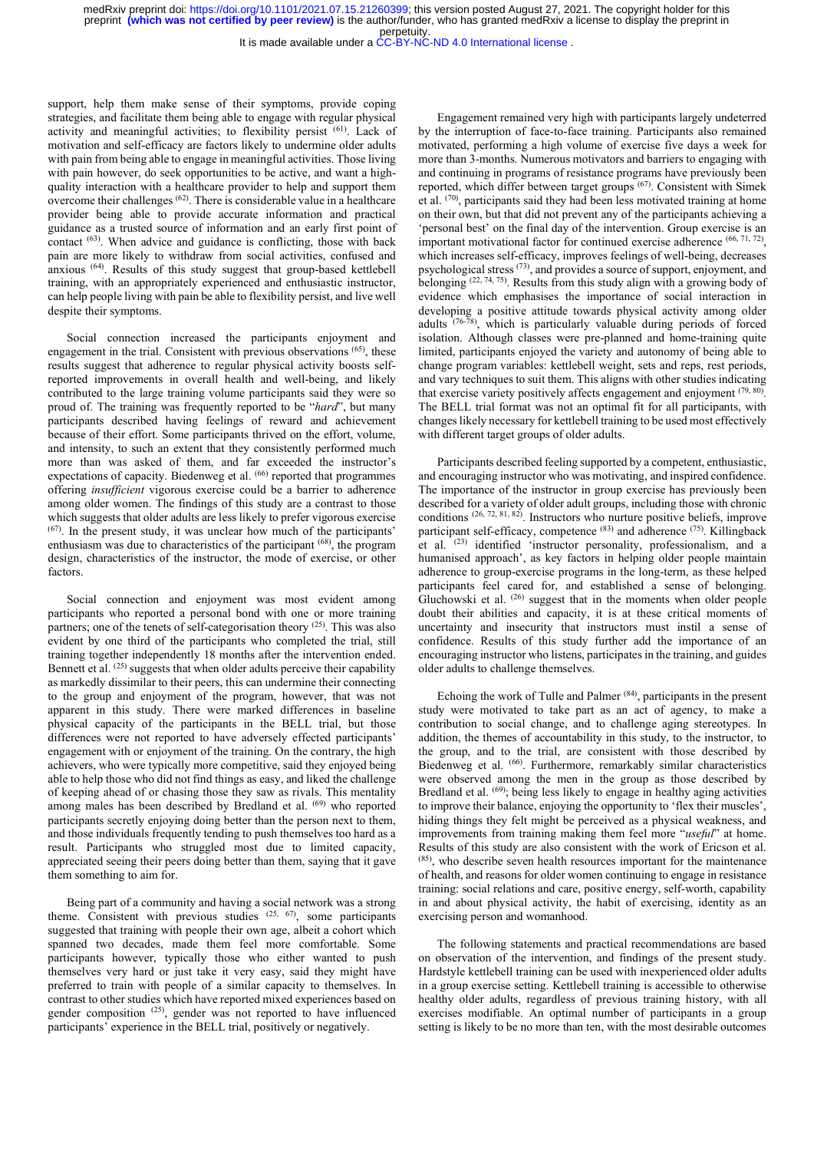It is made available under a [CC-BY-NC-ND 4.0 International license](http://creativecommons.org/licenses/by-nc-nd/4.0/) .

support, help them make sense of their symptoms, provide coping strategies, and facilitate them being able to engage with regular physical activity and meaningful activities; to flexibility persist (61). Lack of motivation and self-efficacy are factors likely to undermine older adults with pain from being able to engage in meaningful activities. Those living with pain however, do seek opportunities to be active, and want a highquality interaction with a healthcare provider to help and support them overcome their challenges  $(62)$ . There is considerable value in a healthcare provider being able to provide accurate information and practical guidance as a trusted source of information and an early first point of contact (63). When advice and guidance is conflicting, those with back pain are more likely to withdraw from social activities, confused and anxious (64). Results of this study suggest that group-based kettlebell training, with an appropriately experienced and enthusiastic instructor, can help people living with pain be able to flexibility persist, and live well despite their symptoms.

Social connection increased the participants enjoyment and engagement in the trial. Consistent with previous observations <sup>(65)</sup>, these results suggest that adherence to regular physical activity boosts selfreported improvements in overall health and well-being, and likely contributed to the large training volume participants said they were so proud of. The training was frequently reported to be "hard", but many participants described having feelings of reward and achievement because of their effort. Some participants thrived on the effort, volume, and intensity, to such an extent that they consistently performed much more than was asked of them, and far exceeded the instructor's expectations of capacity. Biedenweg et al. <sup>(66)</sup> reported that programmes offering insufficient vigorous exercise could be a barrier to adherence among older women. The findings of this study are a contrast to those which suggests that older adults are less likely to prefer vigorous exercise (67). In the present study, it was unclear how much of the participants' enthusiasm was due to characteristics of the participant (68), the program design, characteristics of the instructor, the mode of exercise, or other factors.

Social connection and enjoyment was most evident among participants who reported a personal bond with one or more training partners; one of the tenets of self-categorisation theory <sup>(25)</sup>. This was also evident by one third of the participants who completed the trial, still training together independently 18 months after the intervention ended. Bennett et al. <sup>(25)</sup> suggests that when older adults perceive their capability as markedly dissimilar to their peers, this can undermine their connecting to the group and enjoyment of the program, however, that was not apparent in this study. There were marked differences in baseline physical capacity of the participants in the BELL trial, but those differences were not reported to have adversely effected participants' engagement with or enjoyment of the training. On the contrary, the high achievers, who were typically more competitive, said they enjoyed being able to help those who did not find things as easy, and liked the challenge of keeping ahead of or chasing those they saw as rivals. This mentality among males has been described by Bredland et al. <sup>(69)</sup> who reported participants secretly enjoying doing better than the person next to them, and those individuals frequently tending to push themselves too hard as a result. Participants who struggled most due to limited capacity, appreciated seeing their peers doing better than them, saying that it gave them something to aim for.

Being part of a community and having a social network was a strong theme. Consistent with previous studies  $(25, 67)$ , some participants suggested that training with people their own age, albeit a cohort which spanned two decades, made them feel more comfortable. Some participants however, typically those who either wanted to push themselves very hard or just take it very easy, said they might have preferred to train with people of a similar capacity to themselves. In contrast to other studies which have reported mixed experiences based on gender composition <sup>(25)</sup>, gender was not reported to have influenced participants' experience in the BELL trial, positively or negatively.

Engagement remained very high with participants largely undeterred by the interruption of face-to-face training. Participants also remained motivated, performing a high volume of exercise five days a week for more than 3-months. Numerous motivators and barriers to engaging with and continuing in programs of resistance programs have previously been reported, which differ between target groups (67). Consistent with Simek et al. (70), participants said they had been less motivated training at home on their own, but that did not prevent any of the participants achieving a 'personal best' on the final day of the intervention. Group exercise is an important motivational factor for continued exercise adherence (66, 71, 72), which increases self-efficacy, improves feelings of well-being, decreases psychological stress (73), and provides a source of support, enjoyment, and belonging (22, 74, 75). Results from this study align with a growing body of evidence which emphasises the importance of social interaction in developing a positive attitude towards physical activity among older adults (76-78), which is particularly valuable during periods of forced isolation. Although classes were pre-planned and home-training quite limited, participants enjoyed the variety and autonomy of being able to change program variables: kettlebell weight, sets and reps, rest periods, and vary techniques to suit them. This aligns with other studies indicating that exercise variety positively affects engagement and enjoyment  $(79, 80)$ . The BELL trial format was not an optimal fit for all participants, with changes likely necessary for kettlebell training to be used most effectively with different target groups of older adults.

Participants described feeling supported by a competent, enthusiastic, and encouraging instructor who was motivating, and inspired confidence. The importance of the instructor in group exercise has previously been described for a variety of older adult groups, including those with chronic conditions (26, 72, 81, 82). Instructors who nurture positive beliefs, improve participant self-efficacy, competence (83) and adherence (75). Killingback et al. (23) identified 'instructor personality, professionalism, and a humanised approach', as key factors in helping older people maintain adherence to group-exercise programs in the long-term, as these helped participants feel cared for, and established a sense of belonging. Gluchowski et al.  $(26)$  suggest that in the moments when older people doubt their abilities and capacity, it is at these critical moments of uncertainty and insecurity that instructors must instil a sense of confidence. Results of this study further add the importance of an encouraging instructor who listens, participates in the training, and guides older adults to challenge themselves.

Echoing the work of Tulle and Palmer (84), participants in the present study were motivated to take part as an act of agency, to make a contribution to social change, and to challenge aging stereotypes. In addition, the themes of accountability in this study, to the instructor, to the group, and to the trial, are consistent with those described by  $Biedenweg$  et al.  $^{(66)}$ . Furthermore, remarkably similar characteristics were observed among the men in the group as those described by Bredland et al. <sup>(69)</sup>; being less likely to engage in healthy aging activities to improve their balance, enjoying the opportunity to 'flex their muscles', hiding things they felt might be perceived as a physical weakness, and improvements from training making them feel more "useful" at home. Results of this study are also consistent with the work of Ericson et al. (85), who describe seven health resources important for the maintenance of health, and reasons for older women continuing to engage in resistance training: social relations and care, positive energy, self-worth, capability in and about physical activity, the habit of exercising, identity as an exercising person and womanhood.

The following statements and practical recommendations are based on observation of the intervention, and findings of the present study. Hardstyle kettlebell training can be used with inexperienced older adults in a group exercise setting. Kettlebell training is accessible to otherwise healthy older adults, regardless of previous training history, with all exercises modifiable. An optimal number of participants in a group setting is likely to be no more than ten, with the most desirable outcomes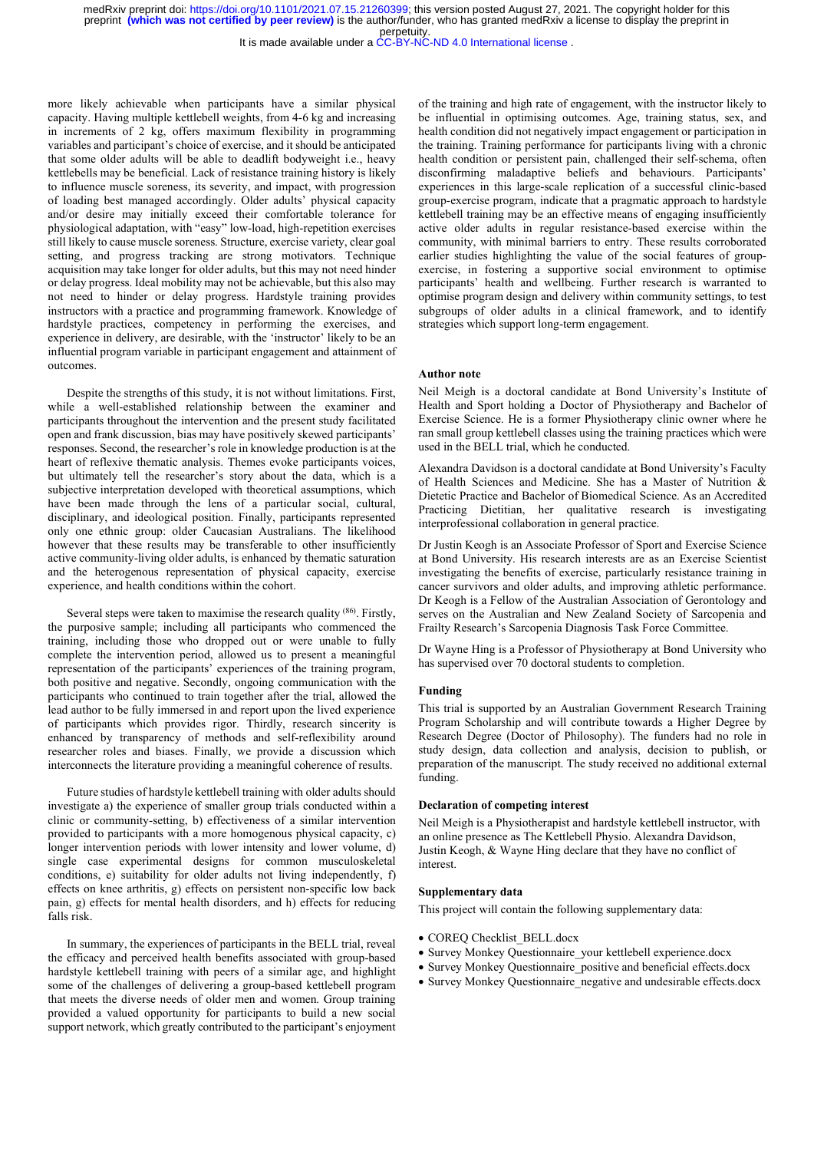It is made available under a [CC-BY-NC-ND 4.0 International license](http://creativecommons.org/licenses/by-nc-nd/4.0/) .

more likely achievable when participants have a similar physical capacity. Having multiple kettlebell weights, from 4-6 kg and increasing in increments of 2 kg, offers maximum flexibility in programming variables and participant's choice of exercise, and it should be anticipated that some older adults will be able to deadlift bodyweight i.e., heavy kettlebells may be beneficial. Lack of resistance training history is likely to influence muscle soreness, its severity, and impact, with progression of loading best managed accordingly. Older adults' physical capacity and/or desire may initially exceed their comfortable tolerance for physiological adaptation, with "easy" low-load, high-repetition exercises still likely to cause muscle soreness. Structure, exercise variety, clear goal setting, and progress tracking are strong motivators. Technique acquisition may take longer for older adults, but this may not need hinder or delay progress. Ideal mobility may not be achievable, but this also may not need to hinder or delay progress. Hardstyle training provides instructors with a practice and programming framework. Knowledge of hardstyle practices, competency in performing the exercises, and experience in delivery, are desirable, with the 'instructor' likely to be an influential program variable in participant engagement and attainment of outcomes.

Despite the strengths of this study, it is not without limitations. First, while a well-established relationship between the examiner and participants throughout the intervention and the present study facilitated open and frank discussion, bias may have positively skewed participants' responses. Second, the researcher's role in knowledge production is at the heart of reflexive thematic analysis. Themes evoke participants voices, but ultimately tell the researcher's story about the data, which is a subjective interpretation developed with theoretical assumptions, which have been made through the lens of a particular social, cultural, disciplinary, and ideological position. Finally, participants represented only one ethnic group: older Caucasian Australians. The likelihood however that these results may be transferable to other insufficiently active community-living older adults, is enhanced by thematic saturation and the heterogenous representation of physical capacity, exercise experience, and health conditions within the cohort.

Several steps were taken to maximise the research quality (86). Firstly, the purposive sample; including all participants who commenced the training, including those who dropped out or were unable to fully complete the intervention period, allowed us to present a meaningful representation of the participants' experiences of the training program, both positive and negative. Secondly, ongoing communication with the participants who continued to train together after the trial, allowed the lead author to be fully immersed in and report upon the lived experience of participants which provides rigor. Thirdly, research sincerity is enhanced by transparency of methods and self-reflexibility around researcher roles and biases. Finally, we provide a discussion which interconnects the literature providing a meaningful coherence of results.

Future studies of hardstyle kettlebell training with older adults should investigate a) the experience of smaller group trials conducted within a clinic or community-setting, b) effectiveness of a similar intervention provided to participants with a more homogenous physical capacity, c) longer intervention periods with lower intensity and lower volume, d) single case experimental designs for common musculoskeletal conditions, e) suitability for older adults not living independently, f) effects on knee arthritis, g) effects on persistent non-specific low back pain, g) effects for mental health disorders, and h) effects for reducing falls risk.

In summary, the experiences of participants in the BELL trial, reveal the efficacy and perceived health benefits associated with group-based hardstyle kettlebell training with peers of a similar age, and highlight some of the challenges of delivering a group-based kettlebell program that meets the diverse needs of older men and women. Group training provided a valued opportunity for participants to build a new social support network, which greatly contributed to the participant's enjoyment of the training and high rate of engagement, with the instructor likely to be influential in optimising outcomes. Age, training status, sex, and health condition did not negatively impact engagement or participation in the training. Training performance for participants living with a chronic health condition or persistent pain, challenged their self-schema, often disconfirming maladaptive beliefs and behaviours. Participants' experiences in this large-scale replication of a successful clinic-based group-exercise program, indicate that a pragmatic approach to hardstyle kettlebell training may be an effective means of engaging insufficiently active older adults in regular resistance-based exercise within the community, with minimal barriers to entry. These results corroborated earlier studies highlighting the value of the social features of groupexercise, in fostering a supportive social environment to optimise participants' health and wellbeing. Further research is warranted to optimise program design and delivery within community settings, to test subgroups of older adults in a clinical framework, and to identify strategies which support long-term engagement.

### Author note

Neil Meigh is a doctoral candidate at Bond University's Institute of Health and Sport holding a Doctor of Physiotherapy and Bachelor of Exercise Science. He is a former Physiotherapy clinic owner where he ran small group kettlebell classes using the training practices which were used in the BELL trial, which he conducted.

Alexandra Davidson is a doctoral candidate at Bond University's Faculty of Health Sciences and Medicine. She has a Master of Nutrition & Dietetic Practice and Bachelor of Biomedical Science. As an Accredited Practicing Dietitian, her qualitative research is investigating interprofessional collaboration in general practice.

Dr Justin Keogh is an Associate Professor of Sport and Exercise Science at Bond University. His research interests are as an Exercise Scientist investigating the benefits of exercise, particularly resistance training in cancer survivors and older adults, and improving athletic performance. Dr Keogh is a Fellow of the Australian Association of Gerontology and serves on the Australian and New Zealand Society of Sarcopenia and Frailty Research's Sarcopenia Diagnosis Task Force Committee.

Dr Wayne Hing is a Professor of Physiotherapy at Bond University who has supervised over 70 doctoral students to completion.

#### Funding

This trial is supported by an Australian Government Research Training Program Scholarship and will contribute towards a Higher Degree by Research Degree (Doctor of Philosophy). The funders had no role in study design, data collection and analysis, decision to publish, or preparation of the manuscript. The study received no additional external funding.

#### Declaration of competing interest

Neil Meigh is a Physiotherapist and hardstyle kettlebell instructor, with an online presence as The Kettlebell Physio. Alexandra Davidson, Justin Keogh, & Wayne Hing declare that they have no conflict of interest.

### Supplementary data

This project will contain the following supplementary data:

- COREQ Checklist BELL.docx
- Survey Monkey Questionnaire\_your kettlebell experience.docx
- Survey Monkey Ouestionnaire positive and beneficial effects.docx
- Survey Monkey Questionnaire negative and undesirable effects.docx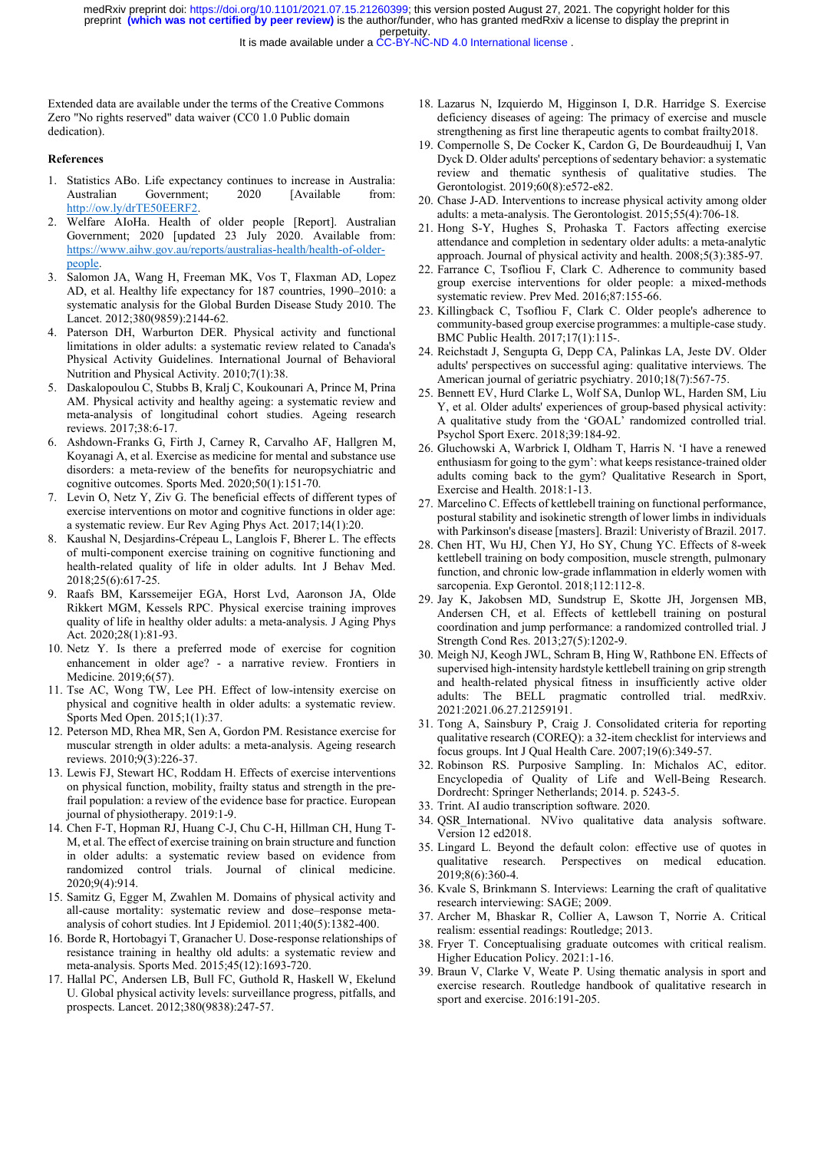It is made available under a [CC-BY-NC-ND 4.0 International license](http://creativecommons.org/licenses/by-nc-nd/4.0/) .

Extended data are available under the terms of the Creative Commons Zero "No rights reserved" data waiver (CC0 1.0 Public domain dedication).

#### References

- 1. Statistics ABo. Life expectancy continues to increase in Australia: Australian Government; 2020 [Available from: http://ow.ly/drTE50EERF2.
- 2. Welfare AIoHa. Health of older people [Report]. Australian Government; 2020 [updated 23 July 2020. Available from: https://www.aihw.gov.au/reports/australias-health/health-of-olderpeople.
- 3. Salomon JA, Wang H, Freeman MK, Vos T, Flaxman AD, Lopez AD, et al. Healthy life expectancy for 187 countries, 1990–2010: a systematic analysis for the Global Burden Disease Study 2010. The Lancet. 2012;380(9859):2144-62.
- 4. Paterson DH, Warburton DER. Physical activity and functional limitations in older adults: a systematic review related to Canada's Physical Activity Guidelines. International Journal of Behavioral Nutrition and Physical Activity. 2010;7(1):38.
- 5. Daskalopoulou C, Stubbs B, Kralj C, Koukounari A, Prince M, Prina AM. Physical activity and healthy ageing: a systematic review and meta-analysis of longitudinal cohort studies. Ageing research reviews. 2017;38:6-17.
- 6. Ashdown-Franks G, Firth J, Carney R, Carvalho AF, Hallgren M, Koyanagi A, et al. Exercise as medicine for mental and substance use disorders: a meta-review of the benefits for neuropsychiatric and cognitive outcomes. Sports Med. 2020;50(1):151-70.
- 7. Levin O, Netz Y, Ziv G. The beneficial effects of different types of exercise interventions on motor and cognitive functions in older age: a systematic review. Eur Rev Aging Phys Act. 2017;14(1):20.
- 8. Kaushal N, Desjardins-Crépeau L, Langlois F, Bherer L. The effects of multi-component exercise training on cognitive functioning and health-related quality of life in older adults. Int J Behav Med. 2018;25(6):617-25.
- 9. Raafs BM, Karssemeijer EGA, Horst Lvd, Aaronson JA, Olde Rikkert MGM, Kessels RPC. Physical exercise training improves quality of life in healthy older adults: a meta-analysis. J Aging Phys Act. 2020;28(1):81-93.
- 10. Netz Y. Is there a preferred mode of exercise for cognition enhancement in older age? - a narrative review. Frontiers in Medicine. 2019;6(57).
- 11. Tse AC, Wong TW, Lee PH. Effect of low-intensity exercise on physical and cognitive health in older adults: a systematic review. Sports Med Open. 2015;1(1):37.
- 12. Peterson MD, Rhea MR, Sen A, Gordon PM. Resistance exercise for muscular strength in older adults: a meta-analysis. Ageing research reviews. 2010;9(3):226-37.
- 13. Lewis FJ, Stewart HC, Roddam H. Effects of exercise interventions on physical function, mobility, frailty status and strength in the prefrail population: a review of the evidence base for practice. European journal of physiotherapy. 2019:1-9.
- 14. Chen F-T, Hopman RJ, Huang C-J, Chu C-H, Hillman CH, Hung T-M, et al. The effect of exercise training on brain structure and function in older adults: a systematic review based on evidence from randomized control trials. Journal of clinical medicine. 2020;9(4):914.
- 15. Samitz G, Egger M, Zwahlen M. Domains of physical activity and all-cause mortality: systematic review and dose–response metaanalysis of cohort studies. Int J Epidemiol. 2011;40(5):1382-400.
- 16. Borde R, Hortobagyi T, Granacher U. Dose-response relationships of resistance training in healthy old adults: a systematic review and meta-analysis. Sports Med. 2015;45(12):1693-720.
- 17. Hallal PC, Andersen LB, Bull FC, Guthold R, Haskell W, Ekelund U. Global physical activity levels: surveillance progress, pitfalls, and prospects. Lancet. 2012;380(9838):247-57.
- 18. Lazarus N, Izquierdo M, Higginson I, D.R. Harridge S. Exercise deficiency diseases of ageing: The primacy of exercise and muscle strengthening as first line therapeutic agents to combat frailty2018.
- 19. Compernolle S, De Cocker K, Cardon G, De Bourdeaudhuij I, Van Dyck D. Older adults' perceptions of sedentary behavior: a systematic review and thematic synthesis of qualitative studies. The Gerontologist. 2019;60(8):e572-e82.
- 20. Chase J-AD. Interventions to increase physical activity among older adults: a meta-analysis. The Gerontologist. 2015;55(4):706-18.
- 21. Hong S-Y, Hughes S, Prohaska T. Factors affecting exercise attendance and completion in sedentary older adults: a meta-analytic approach. Journal of physical activity and health. 2008;5(3):385-97.
- 22. Farrance C, Tsofliou F, Clark C. Adherence to community based group exercise interventions for older people: a mixed-methods systematic review. Prev Med. 2016;87:155-66.
- 23. Killingback C, Tsofliou F, Clark C. Older people's adherence to community-based group exercise programmes: a multiple-case study. BMC Public Health. 2017;17(1):115-.
- 24. Reichstadt J, Sengupta G, Depp CA, Palinkas LA, Jeste DV. Older adults' perspectives on successful aging: qualitative interviews. The American journal of geriatric psychiatry. 2010;18(7):567-75.
- 25. Bennett EV, Hurd Clarke L, Wolf SA, Dunlop WL, Harden SM, Liu Y, et al. Older adults' experiences of group-based physical activity: A qualitative study from the 'GOAL' randomized controlled trial. Psychol Sport Exerc. 2018;39:184-92.
- 26. Gluchowski A, Warbrick I, Oldham T, Harris N. 'I have a renewed enthusiasm for going to the gym': what keeps resistance-trained older adults coming back to the gym? Qualitative Research in Sport, Exercise and Health. 2018:1-13.
- 27. Marcelino C. Effects of kettlebell training on functional performance, postural stability and isokinetic strength of lower limbs in individuals with Parkinson's disease [masters]. Brazil: Univeristy of Brazil. 2017.
- 28. Chen HT, Wu HJ, Chen YJ, Ho SY, Chung YC. Effects of 8-week kettlebell training on body composition, muscle strength, pulmonary function, and chronic low-grade inflammation in elderly women with sarcopenia. Exp Gerontol. 2018;112:112-8.
- 29. Jay K, Jakobsen MD, Sundstrup E, Skotte JH, Jorgensen MB, Andersen CH, et al. Effects of kettlebell training on postural coordination and jump performance: a randomized controlled trial. J Strength Cond Res. 2013;27(5):1202-9.
- 30. Meigh NJ, Keogh JWL, Schram B, Hing W, Rathbone EN. Effects of supervised high-intensity hardstyle kettlebell training on grip strength and health-related physical fitness in insufficiently active older adults: The BELL pragmatic controlled trial. medRxiv. 2021:2021.06.27.21259191.
- 31. Tong A, Sainsbury P, Craig J. Consolidated criteria for reporting qualitative research (COREQ): a 32-item checklist for interviews and focus groups. Int J Qual Health Care. 2007;19(6):349-57.
- 32. Robinson RS. Purposive Sampling. In: Michalos AC, editor. Encyclopedia of Quality of Life and Well-Being Research. Dordrecht: Springer Netherlands; 2014. p. 5243-5.
- 33. Trint. AI audio transcription software. 2020.
- 34. QSR\_International. NVivo qualitative data analysis software. Version 12 ed2018.
- 35. Lingard L. Beyond the default colon: effective use of quotes in qualitative research. Perspectives on medical education. 2019;8(6):360-4.
- 36. Kvale S, Brinkmann S. Interviews: Learning the craft of qualitative research interviewing: SAGE; 2009.
- 37. Archer M, Bhaskar R, Collier A, Lawson T, Norrie A. Critical realism: essential readings: Routledge; 2013.
- 38. Fryer T. Conceptualising graduate outcomes with critical realism. Higher Education Policy. 2021:1-16.
- 39. Braun V, Clarke V, Weate P. Using thematic analysis in sport and exercise research. Routledge handbook of qualitative research in sport and exercise. 2016:191-205.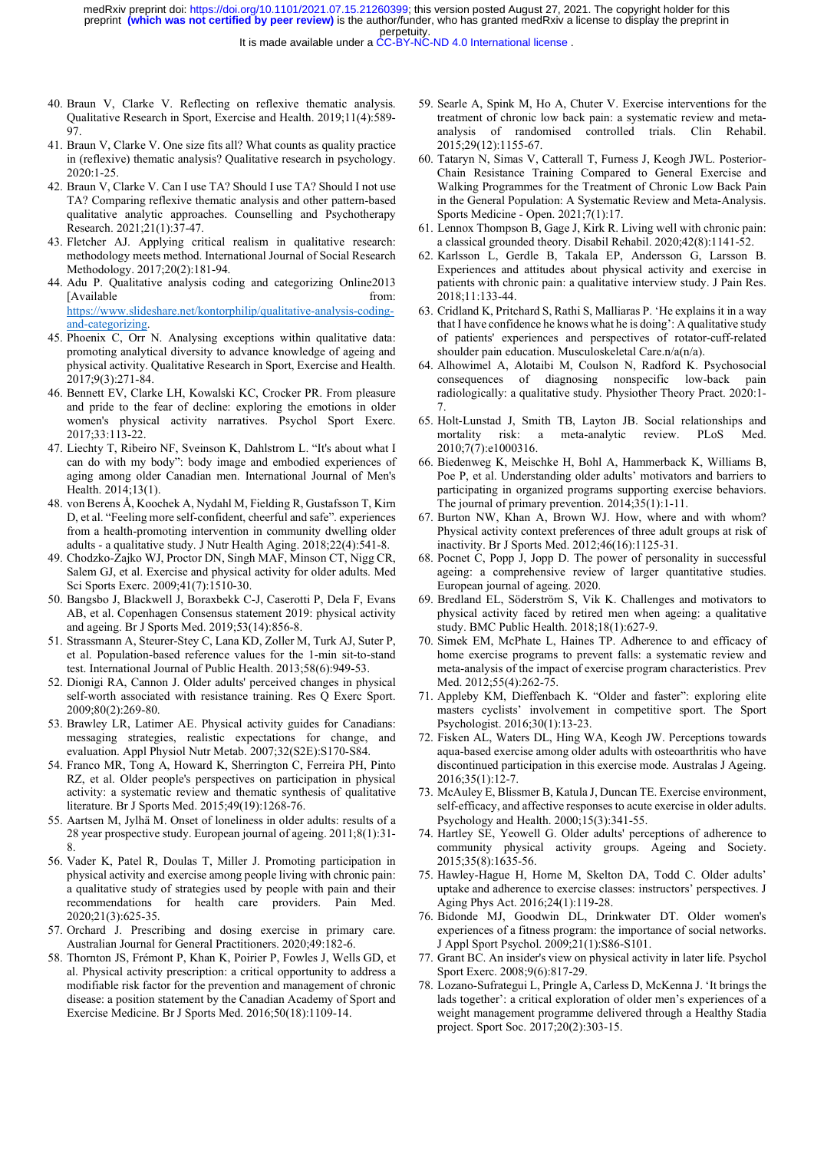- 40. Braun V, Clarke V. Reflecting on reflexive thematic analysis. Qualitative Research in Sport, Exercise and Health. 2019;11(4):589- 97.
- 41. Braun V, Clarke V. One size fits all? What counts as quality practice in (reflexive) thematic analysis? Qualitative research in psychology. 2020:1-25.
- 42. Braun V, Clarke V. Can I use TA? Should I use TA? Should I not use TA? Comparing reflexive thematic analysis and other pattern-based qualitative analytic approaches. Counselling and Psychotherapy Research. 2021;21(1):37-47.
- 43. Fletcher AJ. Applying critical realism in qualitative research: methodology meets method. International Journal of Social Research Methodology. 2017;20(2):181-94.
- 44. Adu P. Qualitative analysis coding and categorizing Online2013 [Available from: https://www.slideshare.net/kontorphilip/qualitative-analysis-codingand-categorizing.
- 45. Phoenix C, Orr N. Analysing exceptions within qualitative data: promoting analytical diversity to advance knowledge of ageing and physical activity. Qualitative Research in Sport, Exercise and Health. 2017;9(3):271-84.
- 46. Bennett EV, Clarke LH, Kowalski KC, Crocker PR. From pleasure and pride to the fear of decline: exploring the emotions in older women's physical activity narratives. Psychol Sport Exerc. 2017;33:113-22.
- 47. Liechty T, Ribeiro NF, Sveinson K, Dahlstrom L. "It's about what I can do with my body": body image and embodied experiences of aging among older Canadian men. International Journal of Men's Health. 2014;13(1).
- 48. von Berens Å, Koochek A, Nydahl M, Fielding R, Gustafsson T, Kirn D, et al. "Feeling more self-confident, cheerful and safe". experiences from a health-promoting intervention in community dwelling older adults - a qualitative study. J Nutr Health Aging. 2018;22(4):541-8.
- 49. Chodzko-Zajko WJ, Proctor DN, Singh MAF, Minson CT, Nigg CR, Salem GJ, et al. Exercise and physical activity for older adults. Med Sci Sports Exerc. 2009;41(7):1510-30.
- 50. Bangsbo J, Blackwell J, Boraxbekk C-J, Caserotti P, Dela F, Evans AB, et al. Copenhagen Consensus statement 2019: physical activity and ageing. Br J Sports Med. 2019;53(14):856-8.
- 51. Strassmann A, Steurer-Stey C, Lana KD, Zoller M, Turk AJ, Suter P, et al. Population-based reference values for the 1-min sit-to-stand test. International Journal of Public Health. 2013;58(6):949-53.
- 52. Dionigi RA, Cannon J. Older adults' perceived changes in physical self-worth associated with resistance training. Res Q Exerc Sport. 2009;80(2):269-80.
- 53. Brawley LR, Latimer AE. Physical activity guides for Canadians: messaging strategies, realistic expectations for change, and evaluation. Appl Physiol Nutr Metab. 2007;32(S2E):S170-S84.
- 54. Franco MR, Tong A, Howard K, Sherrington C, Ferreira PH, Pinto RZ, et al. Older people's perspectives on participation in physical activity: a systematic review and thematic synthesis of qualitative literature. Br J Sports Med. 2015;49(19):1268-76.
- 55. Aartsen M, Jylhä M. Onset of loneliness in older adults: results of a 28 year prospective study. European journal of ageing. 2011;8(1):31- 8.
- 56. Vader K, Patel R, Doulas T, Miller J. Promoting participation in physical activity and exercise among people living with chronic pain: a qualitative study of strategies used by people with pain and their recommendations for health care providers. Pain Med. 2020;21(3):625-35.
- 57. Orchard J. Prescribing and dosing exercise in primary care. Australian Journal for General Practitioners. 2020;49:182-6.
- 58. Thornton JS, Frémont P, Khan K, Poirier P, Fowles J, Wells GD, et al. Physical activity prescription: a critical opportunity to address a modifiable risk factor for the prevention and management of chronic disease: a position statement by the Canadian Academy of Sport and Exercise Medicine. Br J Sports Med. 2016;50(18):1109-14.
- 59. Searle A, Spink M, Ho A, Chuter V. Exercise interventions for the treatment of chronic low back pain: a systematic review and metaanalysis of randomised controlled trials. Clin Rehabil. 2015;29(12):1155-67.
- 60. Tataryn N, Simas V, Catterall T, Furness J, Keogh JWL. Posterior-Chain Resistance Training Compared to General Exercise and Walking Programmes for the Treatment of Chronic Low Back Pain in the General Population: A Systematic Review and Meta-Analysis. Sports Medicine - Open. 2021;7(1):17.
- 61. Lennox Thompson B, Gage J, Kirk R. Living well with chronic pain: a classical grounded theory. Disabil Rehabil. 2020;42(8):1141-52.
- 62. Karlsson L, Gerdle B, Takala EP, Andersson G, Larsson B. Experiences and attitudes about physical activity and exercise in patients with chronic pain: a qualitative interview study. J Pain Res. 2018;11:133-44.
- 63. Cridland K, Pritchard S, Rathi S, Malliaras P. 'He explains it in a way that I have confidence he knows what he is doing': A qualitative study of patients' experiences and perspectives of rotator-cuff-related shoulder pain education. Musculoskeletal Care.n/a(n/a).
- 64. Alhowimel A, Alotaibi M, Coulson N, Radford K. Psychosocial consequences of diagnosing nonspecific low-back pain radiologically: a qualitative study. Physiother Theory Pract. 2020:1- 7.
- 65. Holt-Lunstad J, Smith TB, Layton JB. Social relationships and mortality risk: a meta-analytic review. PLoS Med. 2010;7(7):e1000316.
- 66. Biedenweg K, Meischke H, Bohl A, Hammerback K, Williams B, Poe P, et al. Understanding older adults' motivators and barriers to participating in organized programs supporting exercise behaviors. The journal of primary prevention. 2014;35(1):1-11.
- 67. Burton NW, Khan A, Brown WJ. How, where and with whom? Physical activity context preferences of three adult groups at risk of inactivity. Br J Sports Med. 2012;46(16):1125-31.
- 68. Pocnet C, Popp J, Jopp D. The power of personality in successful ageing: a comprehensive review of larger quantitative studies. European journal of ageing. 2020.
- 69. Bredland EL, Söderström S, Vik K. Challenges and motivators to physical activity faced by retired men when ageing: a qualitative study. BMC Public Health. 2018;18(1):627-9.
- 70. Simek EM, McPhate L, Haines TP. Adherence to and efficacy of home exercise programs to prevent falls: a systematic review and meta-analysis of the impact of exercise program characteristics. Prev Med. 2012;55(4):262-75.
- 71. Appleby KM, Dieffenbach K. "Older and faster": exploring elite masters cyclists' involvement in competitive sport. The Sport Psychologist. 2016;30(1):13-23.
- 72. Fisken AL, Waters DL, Hing WA, Keogh JW. Perceptions towards aqua‐based exercise among older adults with osteoarthritis who have discontinued participation in this exercise mode. Australas J Ageing. 2016;35(1):12-7.
- 73. McAuley E, Blissmer B, Katula J, Duncan TE. Exercise environment, self-efficacy, and affective responses to acute exercise in older adults. Psychology and Health. 2000;15(3):341-55.
- 74. Hartley SE, Yeowell G. Older adults' perceptions of adherence to community physical activity groups. Ageing and Society. 2015;35(8):1635-56.
- 75. Hawley-Hague H, Horne M, Skelton DA, Todd C. Older adults' uptake and adherence to exercise classes: instructors' perspectives. J Aging Phys Act. 2016;24(1):119-28.
- 76. Bidonde MJ, Goodwin DL, Drinkwater DT. Older women's experiences of a fitness program: the importance of social networks. J Appl Sport Psychol. 2009;21(1):S86-S101.
- 77. Grant BC. An insider's view on physical activity in later life. Psychol Sport Exerc. 2008;9(6):817-29.
- 78. Lozano-Sufrategui L, Pringle A, Carless D, McKenna J. 'It brings the lads together': a critical exploration of older men's experiences of a weight management programme delivered through a Healthy Stadia project. Sport Soc. 2017;20(2):303-15.